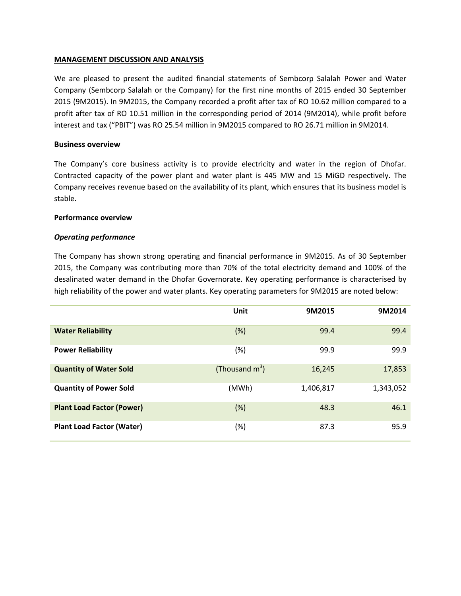## **MANAGEMENT DISCUSSION AND ANALYSIS**

We are pleased to present the audited financial statements of Sembcorp Salalah Power and Water Company (Sembcorp Salalah or the Company) for the first nine months of 2015 ended 30 September 2015 (9M2015). In 9M2015, the Company recorded a profit after tax of RO 10.62 million compared to a profit after tax of RO 10.51 million in the corresponding period of 2014 (9M2014), while profit before interest and tax ("PBIT") was RO 25.54 million in 9M2015 compared to RO 26.71 million in 9M2014.

## **Business overview**

The Company's core business activity is to provide electricity and water in the region of Dhofar. Contracted capacity of the power plant and water plant is 445 MW and 15 MiGD respectively. The Company receives revenue based on the availability of its plant, which ensures that its business model is stable.

#### **Performance overview**

## *Operating performance*

The Company has shown strong operating and financial performance in 9M2015. As of 30 September 2015, the Company was contributing more than 70% of the total electricity demand and 100% of the desalinated water demand in the Dhofar Governorate. Key operating performance is characterised by high reliability of the power and water plants. Key operating parameters for 9M2015 are noted below:

|                                  | Unit              | 9M2015    | 9M2014    |
|----------------------------------|-------------------|-----------|-----------|
| <b>Water Reliability</b>         | (%)               | 99.4      | 99.4      |
| <b>Power Reliability</b>         | (%)               | 99.9      | 99.9      |
| <b>Quantity of Water Sold</b>    | (Thousand $m^3$ ) | 16,245    | 17,853    |
| <b>Quantity of Power Sold</b>    | (MWh)             | 1,406,817 | 1,343,052 |
| <b>Plant Load Factor (Power)</b> | (%)               | 48.3      | 46.1      |
| <b>Plant Load Factor (Water)</b> | $(\%)$            | 87.3      | 95.9      |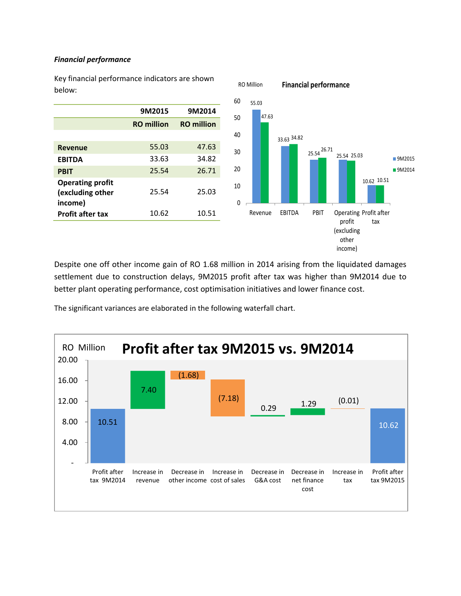## *Financial performance*

Key financial performance indicators are shown below:



RO Million **Financial performance**

Despite one off other income gain of RO 1.68 million in 2014 arising from the liquidated damages settlement due to construction delays, 9M2015 profit after tax was higher than 9M2014 due to better plant operating performance, cost optimisation initiatives and lower finance cost.

The significant variances are elaborated in the following waterfall chart.

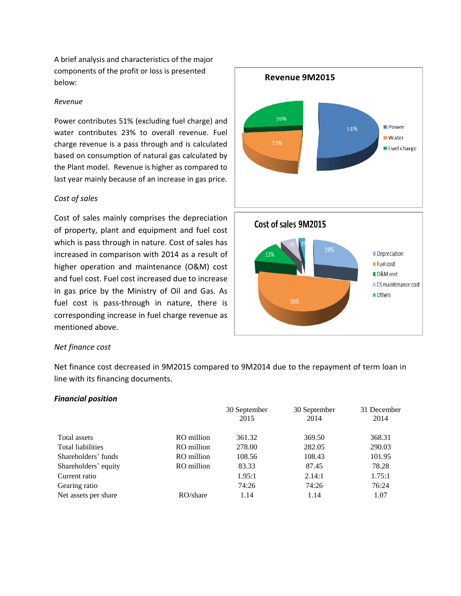A brief analysis and characteristics of the major components of the profit or loss is presented below:

#### *Revenue*

Power contributes 51% (excluding fuel charge) and water contributes 23% to overall revenue. Fuel charge revenue is a pass through and is calculated based on consumption of natural gas calculated by the Plant model. Revenue is higher as compared to last year mainly because of an increase in gas price.

## *Cost of sales*

Cost of sales mainly comprises the depreciation of property, plant and equipment and fuel cost which is pass through in nature. Cost of sales has increased in comparison with 2014 as a result of higher operation and maintenance (O&M) cost and fuel cost. Fuel cost increased due to increase in gas price by the Ministry of Oil and Gas. As fuel cost is pass-through in nature, there is corresponding increase in fuel charge revenue as mentioned above.



## *Net finance cost*

Net finance cost decreased in 9M2015 compared to 9M2014 due to the repayment of term loan in line with its financing documents.

#### *Financial position*

|                          |            | 30 September<br>2015 | 30 September<br>2014 | 31 December<br>2014 |
|--------------------------|------------|----------------------|----------------------|---------------------|
| Total assets             | RO million | 361.32               | 369.50               | 368.31              |
| <b>Total liabilities</b> | RO million | 278.00               | 282.05               | 290.03              |
| Shareholders' funds      | RO million | 108.56               | 108.43               | 101.95              |
| Shareholders' equity     | RO million | 83.33                | 87.45                | 78.28               |
| Current ratio            |            | 1.95:1               | 2.14:1               | 1.75:1              |
| Gearing ratio            |            | 74:26                | 74:26                | 76:24               |
| Net assets per share     | RO/share   | 1.14                 | 1.14                 | 1.07                |